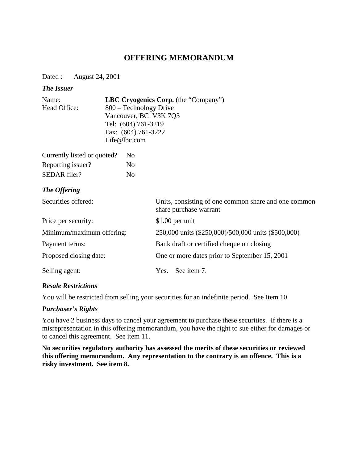# **OFFERING MEMORANDUM**

Dated : August 24, 2001

#### *The Issuer*

| Name:        | <b>LBC Cryogenics Corp.</b> (the "Company") |
|--------------|---------------------------------------------|
| Head Office: | 800 – Technology Drive                      |
|              | Vancouver, BC V3K 7Q3                       |
|              | Tel: (604) 761-3219                         |
|              | Fax: (604) 761-3222                         |
|              | Life@lbc.com                                |
|              |                                             |

| Currently listed or quoted? | N <sub>0</sub> |
|-----------------------------|----------------|
| Reporting issuer?           | No             |
| SEDAR filer?                | No             |

## *The Offering*

| Securities offered:       | Units, consisting of one common share and one common<br>share purchase warrant |
|---------------------------|--------------------------------------------------------------------------------|
| Price per security:       | $$1.00$ per unit                                                               |
| Minimum/maximum offering: | 250,000 units (\$250,000)/500,000 units (\$500,000)                            |
| Payment terms:            | Bank draft or certified cheque on closing                                      |
| Proposed closing date:    | One or more dates prior to September 15, 2001                                  |
| Selling agent:            | See item 7.<br>Yes.                                                            |

#### *Resale Restrictions*

You will be restricted from selling your securities for an indefinite period. See Item 10.

#### *Purchaser's Rights*

You have 2 business days to cancel your agreement to purchase these securities. If there is a misrepresentation in this offering memorandum, you have the right to sue either for damages or to cancel this agreement. See item 11.

**No securities regulatory authority has assessed the merits of these securities or reviewed this offering memorandum. Any representation to the contrary is an offence. This is a risky investment. See item 8.**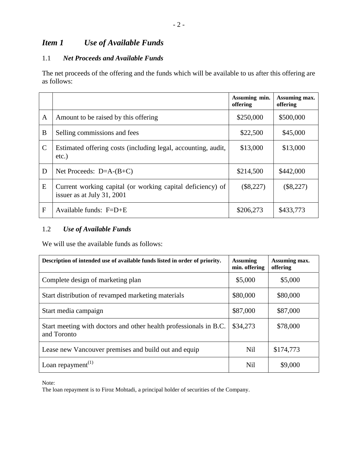# *Item 1 Use of Available Funds*

# 1.1 *Net Proceeds and Available Funds*

The net proceeds of the offering and the funds which will be available to us after this offering are as follows:

|               |                                                                                          | Assuming min.<br>offering | Assuming max.<br>offering |
|---------------|------------------------------------------------------------------------------------------|---------------------------|---------------------------|
| A             | Amount to be raised by this offering                                                     | \$250,000                 | \$500,000                 |
| B             | Selling commissions and fees                                                             | \$22,500                  | \$45,000                  |
| $\mathcal{C}$ | Estimated offering costs (including legal, accounting, audit,<br>$etc.$ )                | \$13,000                  | \$13,000                  |
| D             | Net Proceeds: $D=A-(B+C)$                                                                | \$214,500                 | \$442,000                 |
| E             | Current working capital (or working capital deficiency) of<br>issuer as at July 31, 2001 | $(\$8,227)$               | $(\$8,227)$               |
| F             | Available funds: $F=D+E$                                                                 | \$206,273                 | \$433,773                 |

## 1.2 *Use of Available Funds*

We will use the available funds as follows:

| Description of intended use of available funds listed in order of priority.      | <b>Assuming</b><br>min. offering | Assuming max.<br>offering |
|----------------------------------------------------------------------------------|----------------------------------|---------------------------|
| Complete design of marketing plan                                                | \$5,000                          | \$5,000                   |
| Start distribution of revamped marketing materials                               | \$80,000                         | \$80,000                  |
| Start media campaign                                                             | \$87,000                         | \$87,000                  |
| Start meeting with doctors and other health professionals in B.C.<br>and Toronto | \$34,273                         | \$78,000                  |
| Lease new Vancouver premises and build out and equip                             | <b>Nil</b>                       | \$174,773                 |
| Loan repayment <sup><math>(1)</math></sup>                                       | <b>Nil</b>                       | \$9,000                   |

Note:

The loan repayment is to Firoz Mohtadi, a principal holder of securities of the Company.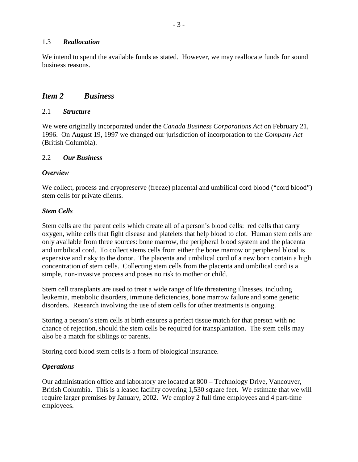#### 1.3 *Reallocation*

We intend to spend the available funds as stated. However, we may reallocate funds for sound business reasons.

## *Item 2 Business*

#### 2.1 *Structure*

We were originally incorporated under the *Canada Business Corporations Act* on February 21, 1996. On August 19, 1997 we changed our jurisdiction of incorporation to the *Company Act* (British Columbia).

#### 2.2 *Our Business*

#### *Overview*

We collect, process and cryopreserve (freeze) placental and umbilical cord blood ("cord blood") stem cells for private clients.

#### *Stem Cells*

Stem cells are the parent cells which create all of a person's blood cells: red cells that carry oxygen, white cells that fight disease and platelets that help blood to clot. Human stem cells are only available from three sources: bone marrow, the peripheral blood system and the placenta and umbilical cord. To collect stems cells from either the bone marrow or peripheral blood is expensive and risky to the donor. The placenta and umbilical cord of a new born contain a high concentration of stem cells. Collecting stem cells from the placenta and umbilical cord is a simple, non-invasive process and poses no risk to mother or child.

Stem cell transplants are used to treat a wide range of life threatening illnesses, including leukemia, metabolic disorders, immune deficiencies, bone marrow failure and some genetic disorders. Research involving the use of stem cells for other treatments is ongoing.

Storing a person's stem cells at birth ensures a perfect tissue match for that person with no chance of rejection, should the stem cells be required for transplantation. The stem cells may also be a match for siblings or parents.

Storing cord blood stem cells is a form of biological insurance.

#### *Operations*

Our administration office and laboratory are located at 800 – Technology Drive, Vancouver, British Columbia. This is a leased facility covering 1,530 square feet. We estimate that we will require larger premises by January, 2002. We employ 2 full time employees and 4 part-time employees.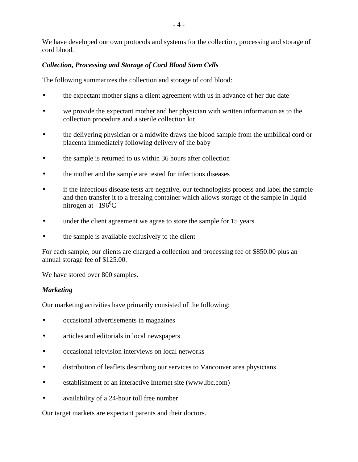We have developed our own protocols and systems for the collection, processing and storage of cord blood.

## *Collection, Processing and Storage of Cord Blood Stem Cells*

The following summarizes the collection and storage of cord blood:

- the expectant mother signs a client agreement with us in advance of her due date
- we provide the expectant mother and her physician with written information as to the collection procedure and a sterile collection kit
- the delivering physician or a midwife draws the blood sample from the umbilical cord or placenta immediately following delivery of the baby
- the sample is returned to us within 36 hours after collection
- the mother and the sample are tested for infectious diseases
- if the infectious disease tests are negative, our technologists process and label the sample and then transfer it to a freezing container which allows storage of the sample in liquid nitrogen at  $-196^{\circ}$ C
- under the client agreement we agree to store the sample for 15 years
- the sample is available exclusively to the client

For each sample, our clients are charged a collection and processing fee of \$850.00 plus an annual storage fee of \$125.00.

We have stored over 800 samples.

## *Marketing*

Our marketing activities have primarily consisted of the following:

- occasional advertisements in magazines
- articles and editorials in local newspapers
- occasional television interviews on local networks
- distribution of leaflets describing our services to Vancouver area physicians
- establishment of an interactive Internet site (www.lbc.com)
- availability of a 24-hour toll free number

Our target markets are expectant parents and their doctors.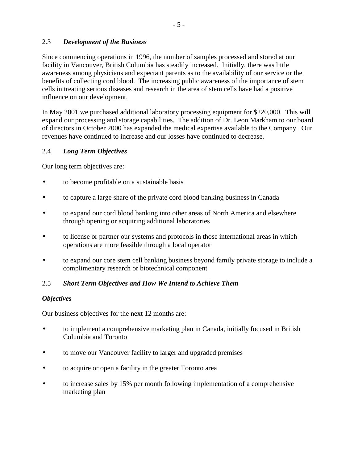## 2.3 *Development of the Business*

Since commencing operations in 1996, the number of samples processed and stored at our facility in Vancouver, British Columbia has steadily increased. Initially, there was little awareness among physicians and expectant parents as to the availability of our service or the benefits of collecting cord blood. The increasing public awareness of the importance of stem cells in treating serious diseases and research in the area of stem cells have had a positive influence on our development.

In May 2001 we purchased additional laboratory processing equipment for \$220,000. This will expand our processing and storage capabilities. The addition of Dr. Leon Markham to our board of directors in October 2000 has expanded the medical expertise available to the Company. Our revenues have continued to increase and our losses have continued to decrease.

## 2.4 *Long Term Objectives*

Our long term objectives are:

- to become profitable on a sustainable basis
- to capture a large share of the private cord blood banking business in Canada
- to expand our cord blood banking into other areas of North America and elsewhere through opening or acquiring additional laboratories
- to license or partner our systems and protocols in those international areas in which operations are more feasible through a local operator
- to expand our core stem cell banking business beyond family private storage to include a complimentary research or biotechnical component

#### 2.5 *Short Term Objectives and How We Intend to Achieve Them*

#### *Objectives*

Our business objectives for the next 12 months are:

- to implement a comprehensive marketing plan in Canada, initially focused in British Columbia and Toronto
- to move our Vancouver facility to larger and upgraded premises
- to acquire or open a facility in the greater Toronto area
- to increase sales by 15% per month following implementation of a comprehensive marketing plan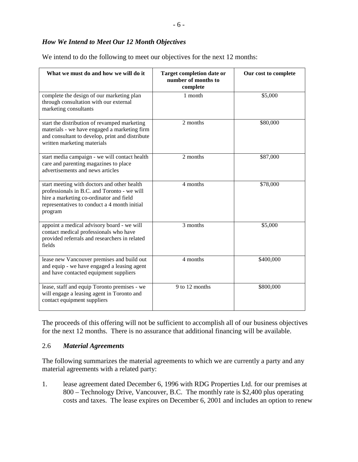| What we must do and how we will do it                                                                                                                                                            | <b>Target completion date or</b><br>number of months to<br>complete | Our cost to complete |
|--------------------------------------------------------------------------------------------------------------------------------------------------------------------------------------------------|---------------------------------------------------------------------|----------------------|
| complete the design of our marketing plan<br>through consultation with our external<br>marketing consultants                                                                                     | 1 month                                                             | \$5,000              |
| start the distribution of revamped marketing<br>materials - we have engaged a marketing firm<br>and consultant to develop, print and distribute<br>written marketing materials                   | 2 months                                                            | \$80,000             |
| start media campaign - we will contact health<br>care and parenting magazines to place<br>advertisements and news articles                                                                       | 2 months                                                            | \$87,000             |
| start meeting with doctors and other health<br>professionals in B.C. and Toronto - we will<br>hire a marketing co-ordinator and field<br>representatives to conduct a 4 month initial<br>program | 4 months                                                            | \$78,000             |
| appoint a medical advisory board - we will<br>contact medical professionals who have<br>provided referrals and researchers in related<br>fields                                                  | 3 months                                                            | \$5,000              |
| lease new Vancouver premises and build out<br>and equip - we have engaged a leasing agent<br>and have contacted equipment suppliers                                                              | 4 months                                                            | \$400,000            |
| lease, staff and equip Toronto premises - we<br>will engage a leasing agent in Toronto and<br>contact equipment suppliers                                                                        | 9 to 12 months                                                      | \$800,000            |

We intend to do the following to meet our objectives for the next 12 months:

The proceeds of this offering will not be sufficient to accomplish all of our business objectives for the next 12 months. There is no assurance that additional financing will be available.

## 2.6 *Material Agreements*

The following summarizes the material agreements to which we are currently a party and any material agreements with a related party:

1. lease agreement dated December 6, 1996 with RDG Properties Ltd. for our premises at 800 – Technology Drive, Vancouver, B.C. The monthly rate is \$2,400 plus operating costs and taxes. The lease expires on December 6, 2001 and includes an option to renew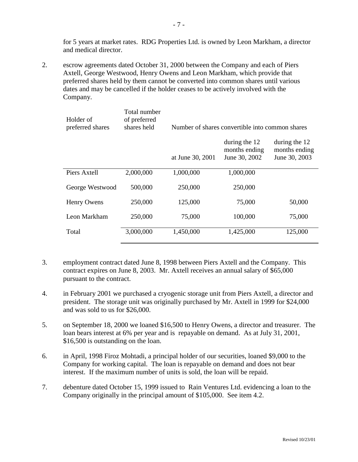for 5 years at market rates. RDG Properties Ltd. is owned by Leon Markham, a director and medical director.

2. escrow agreements dated October 31, 2000 between the Company and each of Piers Axtell, George Westwood, Henry Owens and Leon Markham, which provide that preferred shares held by them cannot be converted into common shares until various dates and may be cancelled if the holder ceases to be actively involved with the Company.

| Holder of<br>preferred shares | Total number<br>of preferred<br>shares held |                  | Number of shares convertible into common shares |                                |
|-------------------------------|---------------------------------------------|------------------|-------------------------------------------------|--------------------------------|
|                               |                                             |                  | during the 12                                   | during the 12                  |
|                               |                                             | at June 30, 2001 | months ending<br>June 30, 2002                  | months ending<br>June 30, 2003 |
| Piers Axtell                  | 2,000,000                                   | 1,000,000        | 1,000,000                                       |                                |
| George Westwood               | 500,000                                     | 250,000          | 250,000                                         |                                |
| Henry Owens                   | 250,000                                     | 125,000          | 75,000                                          | 50,000                         |
| Leon Markham                  | 250,000                                     | 75,000           | 100,000                                         | 75,000                         |
| Total                         | 3,000,000                                   | 1,450,000        | 1,425,000                                       | 125,000                        |

- 3. employment contract dated June 8, 1998 between Piers Axtell and the Company. This contract expires on June 8, 2003. Mr. Axtell receives an annual salary of \$65,000 pursuant to the contract.
- 4. in February 2001 we purchased a cryogenic storage unit from Piers Axtell, a director and president. The storage unit was originally purchased by Mr. Axtell in 1999 for \$24,000 and was sold to us for \$26,000.
- 5. on September 18, 2000 we loaned \$16,500 to Henry Owens, a director and treasurer. The loan bears interest at 6% per year and is repayable on demand. As at July 31, 2001, \$16,500 is outstanding on the loan.
- 6. in April, 1998 Firoz Mohtadi, a principal holder of our securities, loaned \$9,000 to the Company for working capital. The loan is repayable on demand and does not bear interest. If the maximum number of units is sold, the loan will be repaid.
- 7. debenture dated October 15, 1999 issued to Rain Ventures Ltd. evidencing a loan to the Company originally in the principal amount of \$105,000. See item 4.2.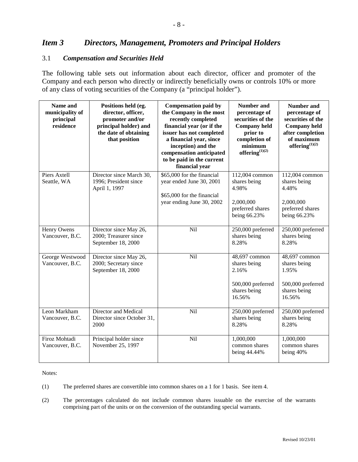## *Item 3 Directors, Management, Promoters and Principal Holders*

#### 3.1 *Compensation and Securities Held*

The following table sets out information about each director, officer and promoter of the Company and each person who directly or indirectly beneficially owns or controls 10% or more of any class of voting securities of the Company (a "principal holder").

| Name and<br>municipality of<br>principal<br>residence | Positions held (eg.<br>director, officer,<br>promoter and/or<br>principal holder) and<br>the date of obtaining<br>that position | <b>Compensation paid by</b><br>the Company in the most<br>recently completed<br>financial year (or if the<br>issuer has not completed<br>a financial year, since<br>inception) and the<br>compensation anticipated<br>to be paid in the current<br>financial year | <b>Number and</b><br>percentage of<br>securities of the<br><b>Company held</b><br>prior to<br>completion of<br>minimum<br>offering $^{(1)(2)}$ | <b>Number and</b><br>percentage of<br>securities of the<br><b>Company held</b><br>after completion<br>of maximum<br>offering $^{(1)(2)}$ |
|-------------------------------------------------------|---------------------------------------------------------------------------------------------------------------------------------|-------------------------------------------------------------------------------------------------------------------------------------------------------------------------------------------------------------------------------------------------------------------|------------------------------------------------------------------------------------------------------------------------------------------------|------------------------------------------------------------------------------------------------------------------------------------------|
| Piers Axtell<br>Seattle, WA                           | Director since March 30,<br>1996; President since<br>April 1, 1997                                                              | \$65,000 for the financial<br>year ended June 30, 2001<br>\$65,000 for the financial<br>year ending June 30, 2002                                                                                                                                                 | 112,004 common<br>shares being<br>4.98%<br>2,000,000<br>preferred shares<br>being 66.23%                                                       | 112,004 common<br>shares being<br>4.48%<br>2,000,000<br>preferred shares<br>being 66.23%                                                 |
| Henry Owens<br>Vancouver, B.C.                        | Director since May 26,<br>2000; Treasurer since<br>September 18, 2000                                                           | Nil                                                                                                                                                                                                                                                               | 250,000 preferred<br>shares being<br>8.28%                                                                                                     | 250,000 preferred<br>shares being<br>8.28%                                                                                               |
| George Westwood<br>Vancouver, B.C.                    | Director since May 26,<br>2000; Secretary since<br>September 18, 2000                                                           | Nil                                                                                                                                                                                                                                                               | 48,697 common<br>shares being<br>2.16%<br>500,000 preferred<br>shares being<br>16.56%                                                          | 48,697 common<br>shares being<br>1.95%<br>500,000 preferred<br>shares being<br>16.56%                                                    |
| Leon Markham<br>Vancouver, B.C.                       | <b>Director and Medical</b><br>Director since October 31,<br>2000                                                               | Nil                                                                                                                                                                                                                                                               | 250,000 preferred<br>shares being<br>8.28%                                                                                                     | 250,000 preferred<br>shares being<br>8.28%                                                                                               |
| Firoz Mohtadi<br>Vancouver, B.C.                      | Principal holder since<br>November 25, 1997                                                                                     | Nil                                                                                                                                                                                                                                                               | 1,000,000<br>common shares<br>being 44.44%                                                                                                     | 1,000,000<br>common shares<br>being 40%                                                                                                  |

Notes:

- (1) The preferred shares are convertible into common shares on a 1 for 1 basis. See item 4.
- (2) The percentages calculated do not include common shares issuable on the exercise of the warrants comprising part of the units or on the conversion of the outstanding special warrants.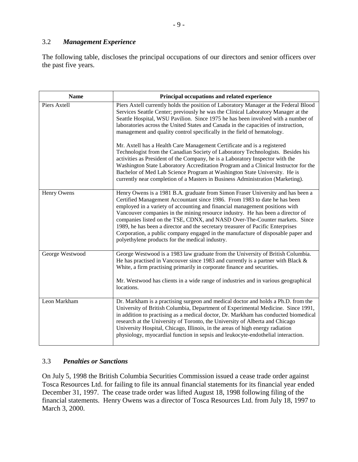### 3.2 *Management Experience*

The following table, discloses the principal occupations of our directors and senior officers over the past five years.

| <b>Name</b>     | Principal occupations and related experience                                                                                                                                                                                                                                                                                                                                                                                                                                                                                                                                                                                                                                                                                                                                                                                                                                                                                        |
|-----------------|-------------------------------------------------------------------------------------------------------------------------------------------------------------------------------------------------------------------------------------------------------------------------------------------------------------------------------------------------------------------------------------------------------------------------------------------------------------------------------------------------------------------------------------------------------------------------------------------------------------------------------------------------------------------------------------------------------------------------------------------------------------------------------------------------------------------------------------------------------------------------------------------------------------------------------------|
| Piers Axtell    | Piers Axtell currently holds the position of Laboratory Manager at the Federal Blood<br>Services Seattle Center; previously he was the Clinical Laboratory Manager at the<br>Seattle Hospital, WSU Pavilion. Since 1975 he has been involved with a number of<br>laboratories across the United States and Canada in the capacities of instruction,<br>management and quality control specifically in the field of hematology.<br>Mr. Axtell has a Health Care Management Certificate and is a registered<br>Technologist from the Canadian Society of Laboratory Technologists. Besides his<br>activities as President of the Company, he is a Laboratory Inspector with the<br>Washington State Laboratory Accreditation Program and a Clinical Instructor for the<br>Bachelor of Med Lab Science Program at Washington State University. He is<br>currently near completion of a Masters in Business Administration (Marketing). |
| Henry Owens     | Henry Owens is a 1981 B.A. graduate from Simon Fraser University and has been a<br>Certified Management Accountant since 1986. From 1983 to date he has been<br>employed in a variety of accounting and financial management positions with<br>Vancouver companies in the mining resource industry. He has been a director of<br>companies listed on the TSE, CDNX, and NASD Over-The-Counter markets. Since<br>1989, he has been a director and the secretary treasurer of Pacific Enterprises<br>Corporation, a public company engaged in the manufacture of disposable paper and<br>polyethylene products for the medical industry.                                                                                                                                                                                                                                                                                              |
| George Westwood | George Westwood is a 1983 law graduate from the University of British Columbia.<br>He has practised in Vancouver since 1983 and currently is a partner with Black $\&$<br>White, a firm practising primarily in corporate finance and securities.<br>Mr. Westwood has clients in a wide range of industries and in various geographical<br>locations.                                                                                                                                                                                                                                                                                                                                                                                                                                                                                                                                                                               |
| Leon Markham    | Dr. Markham is a practising surgeon and medical doctor and holds a Ph.D. from the<br>University of British Columbia, Department of Experimental Medicine. Since 1991,<br>in addition to practising as a medical doctor, Dr. Markham has conducted biomedical<br>research at the University of Toronto, the University of Alberta and Chicago<br>University Hospital, Chicago, Illinois, in the areas of high energy radiation<br>physiology, myocardial function in sepsis and leukocyte-endothelial interaction.                                                                                                                                                                                                                                                                                                                                                                                                                   |

## 3.3 *Penalties or Sanctions*

On July 5, 1998 the British Columbia Securities Commission issued a cease trade order against Tosca Resources Ltd. for failing to file its annual financial statements for its financial year ended December 31, 1997. The cease trade order was lifted August 18, 1998 following filing of the financial statements. Henry Owens was a director of Tosca Resources Ltd. from July 18, 1997 to March 3, 2000.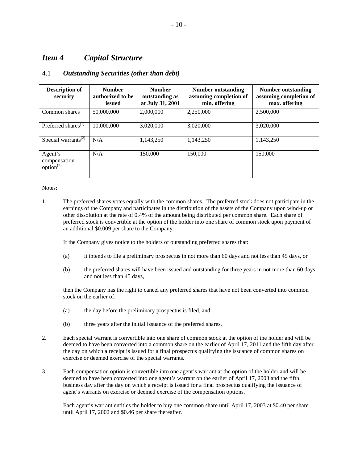## *Item 4 Capital Structure*

#### 4.1 *Outstanding Securities (other than debt)*

| <b>Description of</b><br>security            | <b>Number</b><br>authorized to be<br>issued | <b>Number</b><br>outstanding as<br>at July 31, 2001 | Number outstanding<br>assuming completion of<br>min. offering | Number outstanding<br>assuming completion of<br>max. offering |
|----------------------------------------------|---------------------------------------------|-----------------------------------------------------|---------------------------------------------------------------|---------------------------------------------------------------|
| Common shares                                | 50,000,000                                  | 2,000,000                                           | 2.250,000                                                     | 2.500,000                                                     |
| Preferred shares <sup>(1)</sup>              | 10,000,000                                  | 3.020.000                                           | 3,020,000                                                     | 3,020,000                                                     |
| Special warrants <sup><math>(2)</math></sup> | N/A                                         | 1.143.250                                           | 1.143.250                                                     | 1.143.250                                                     |
| Agent's<br>compensation<br>$option^{(3)}$    | N/A                                         | 150,000                                             | 150.000                                                       | 150,000                                                       |

Notes:

1. The preferred shares votes equally with the common shares. The preferred stock does not participate in the earnings of the Company and participates in the distribution of the assets of the Company upon wind-up or other dissolution at the rate of 0.4% of the amount being distributed per common share. Each share of preferred stock is convertible at the option of the holder into one share of common stock upon payment of an additional \$0.009 per share to the Company.

If the Company gives notice to the holders of outstanding preferred shares that:

- (a) it intends to file a preliminary prospectus in not more than 60 days and not less than 45 days, or
- (b) the preferred shares will have been issued and outstanding for three years in not more than 60 days and not less than 45 days,

then the Company has the right to cancel any preferred shares that have not been converted into common stock on the earlier of:

- (a) the day before the preliminary prospectus is filed, and
- (b) three years after the initial issuance of the preferred shares.
- 2. Each special warrant is convertible into one share of common stock at the option of the holder and will be deemed to have been converted into a common share on the earlier of April 17, 2011 and the fifth day after the day on which a receipt is issued for a final prospectus qualifying the issuance of common shares on exercise or deemed exercise of the special warrants.
- 3. Each compensation option is convertible into one agent's warrant at the option of the holder and will be deemed to have been converted into one agent's warrant on the earlier of April 17, 2003 and the fifth business day after the day on which a receipt is issued for a final prospectus qualifying the issuance of agent's warrants on exercise or deemed exercise of the compensation options.

Each agent's warrant entitles the holder to buy one common share until April 17, 2003 at \$0.40 per share until April 17, 2002 and \$0.46 per share thereafter.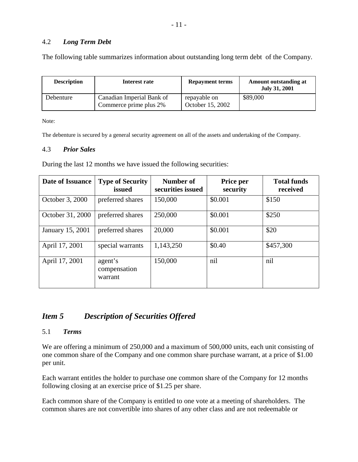### 4.2 *Long Term Debt*

The following table summarizes information about outstanding long term debt of the Company.

| <b>Description</b> | Interest rate                                       | <b>Repayment terms</b>           | Amount outstanding at<br><b>July 31, 2001</b> |
|--------------------|-----------------------------------------------------|----------------------------------|-----------------------------------------------|
| Debenture          | Canadian Imperial Bank of<br>Commerce prime plus 2% | repayable on<br>October 15, 2002 | \$89,000                                      |

Note:

The debenture is secured by a general security agreement on all of the assets and undertaking of the Company.

#### 4.3 *Prior Sales*

During the last 12 months we have issued the following securities:

| Date of Issuance | <b>Type of Security</b><br>issued  | Number of<br>securities issued | Price per<br>security | <b>Total funds</b><br>received |
|------------------|------------------------------------|--------------------------------|-----------------------|--------------------------------|
| October 3, 2000  | preferred shares                   | 150,000                        | \$0.001               | \$150                          |
| October 31, 2000 | preferred shares                   | 250,000                        | \$0.001               | \$250                          |
| January 15, 2001 | preferred shares                   | 20,000                         | \$0.001               | \$20                           |
| April 17, 2001   | special warrants                   | 1,143,250                      | \$0.40                | \$457,300                      |
| April 17, 2001   | agent's<br>compensation<br>warrant | 150,000                        | nil                   | nil                            |

# *Item 5 Description of Securities Offered*

#### 5.1 *Terms*

We are offering a minimum of 250,000 and a maximum of 500,000 units, each unit consisting of one common share of the Company and one common share purchase warrant, at a price of \$1.00 per unit.

Each warrant entitles the holder to purchase one common share of the Company for 12 months following closing at an exercise price of \$1.25 per share.

Each common share of the Company is entitled to one vote at a meeting of shareholders. The common shares are not convertible into shares of any other class and are not redeemable or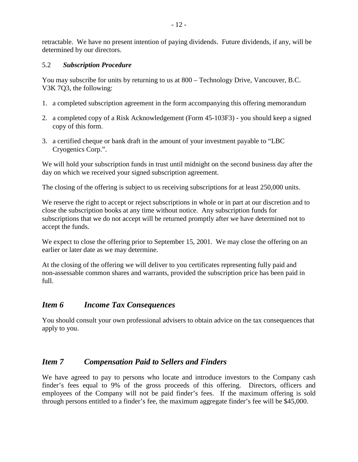retractable. We have no present intention of paying dividends. Future dividends, if any, will be determined by our directors.

### 5.2 *Subscription Procedure*

You may subscribe for units by returning to us at 800 – Technology Drive, Vancouver, B.C. V3K 7Q3, the following:

- 1. a completed subscription agreement in the form accompanying this offering memorandum
- 2. a completed copy of a Risk Acknowledgement (Form 45-103F3) you should keep a signed copy of this form.
- 3. a certified cheque or bank draft in the amount of your investment payable to "LBC Cryogenics Corp.".

We will hold your subscription funds in trust until midnight on the second business day after the day on which we received your signed subscription agreement.

The closing of the offering is subject to us receiving subscriptions for at least 250,000 units.

We reserve the right to accept or reject subscriptions in whole or in part at our discretion and to close the subscription books at any time without notice. Any subscription funds for subscriptions that we do not accept will be returned promptly after we have determined not to accept the funds.

We expect to close the offering prior to September 15, 2001. We may close the offering on an earlier or later date as we may determine.

At the closing of the offering we will deliver to you certificates representing fully paid and non-assessable common shares and warrants, provided the subscription price has been paid in full.

## *Item 6 Income Tax Consequences*

You should consult your own professional advisers to obtain advice on the tax consequences that apply to you.

## *Item 7 Compensation Paid to Sellers and Finders*

We have agreed to pay to persons who locate and introduce investors to the Company cash finder's fees equal to 9% of the gross proceeds of this offering. Directors, officers and employees of the Company will not be paid finder's fees. If the maximum offering is sold through persons entitled to a finder's fee, the maximum aggregate finder's fee will be \$45,000.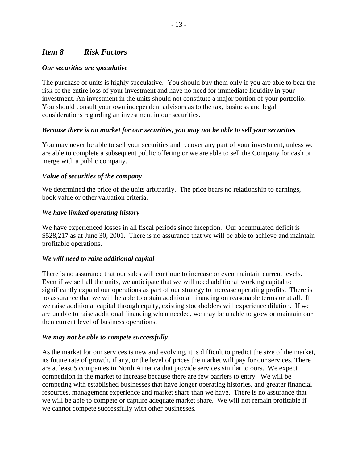# *Item 8 Risk Factors*

### *Our securities are speculative*

The purchase of units is highly speculative. You should buy them only if you are able to bear the risk of the entire loss of your investment and have no need for immediate liquidity in your investment. An investment in the units should not constitute a major portion of your portfolio. You should consult your own independent advisors as to the tax, business and legal considerations regarding an investment in our securities.

### *Because there is no market for our securities, you may not be able to sell your securities*

You may never be able to sell your securities and recover any part of your investment, unless we are able to complete a subsequent public offering or we are able to sell the Company for cash or merge with a public company.

### *Value of securities of the company*

We determined the price of the units arbitrarily. The price bears no relationship to earnings, book value or other valuation criteria.

### *We have limited operating history*

We have experienced losses in all fiscal periods since inception. Our accumulated deficit is \$528,217 as at June 30, 2001. There is no assurance that we will be able to achieve and maintain profitable operations.

#### *We will need to raise additional capital*

There is no assurance that our sales will continue to increase or even maintain current levels. Even if we sell all the units, we anticipate that we will need additional working capital to significantly expand our operations as part of our strategy to increase operating profits. There is no assurance that we will be able to obtain additional financing on reasonable terms or at all. If we raise additional capital through equity, existing stockholders will experience dilution. If we are unable to raise additional financing when needed, we may be unable to grow or maintain our then current level of business operations.

#### *We may not be able to compete successfully*

As the market for our services is new and evolving, it is difficult to predict the size of the market, its future rate of growth, if any, or the level of prices the market will pay for our services. There are at least 5 companies in North America that provide services similar to ours. We expect competition in the market to increase because there are few barriers to entry. We will be competing with established businesses that have longer operating histories, and greater financial resources, management experience and market share than we have. There is no assurance that we will be able to compete or capture adequate market share. We will not remain profitable if we cannot compete successfully with other businesses.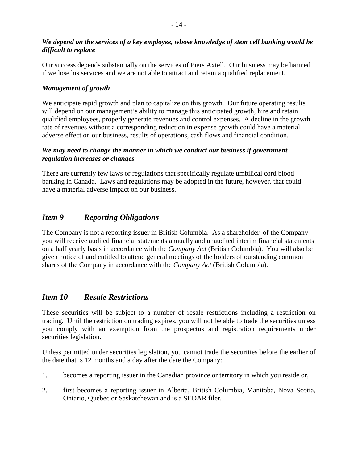## *We depend on the services of a key employee, whose knowledge of stem cell banking would be difficult to replace*

Our success depends substantially on the services of Piers Axtell. Our business may be harmed if we lose his services and we are not able to attract and retain a qualified replacement.

## *Management of growth*

We anticipate rapid growth and plan to capitalize on this growth. Our future operating results will depend on our management's ability to manage this anticipated growth, hire and retain qualified employees, properly generate revenues and control expenses. A decline in the growth rate of revenues without a corresponding reduction in expense growth could have a material adverse effect on our business, results of operations, cash flows and financial condition.

### *We may need to change the manner in which we conduct our business if government regulation increases or changes*

There are currently few laws or regulations that specifically regulate umbilical cord blood banking in Canada. Laws and regulations may be adopted in the future, however, that could have a material adverse impact on our business.

# *Item 9 Reporting Obligations*

The Company is not a reporting issuer in British Columbia. As a shareholder of the Company you will receive audited financial statements annually and unaudited interim financial statements on a half yearly basis in accordance with the *Company Act* (British Columbia). You will also be given notice of and entitled to attend general meetings of the holders of outstanding common shares of the Company in accordance with the *Company Act* (British Columbia).

## *Item 10 Resale Restrictions*

These securities will be subject to a number of resale restrictions including a restriction on trading. Until the restriction on trading expires, you will not be able to trade the securities unless you comply with an exemption from the prospectus and registration requirements under securities legislation.

Unless permitted under securities legislation, you cannot trade the securities before the earlier of the date that is 12 months and a day after the date the Company:

- 1. becomes a reporting issuer in the Canadian province or territory in which you reside or,
- 2. first becomes a reporting issuer in Alberta, British Columbia, Manitoba, Nova Scotia, Ontario, Quebec or Saskatchewan and is a SEDAR filer.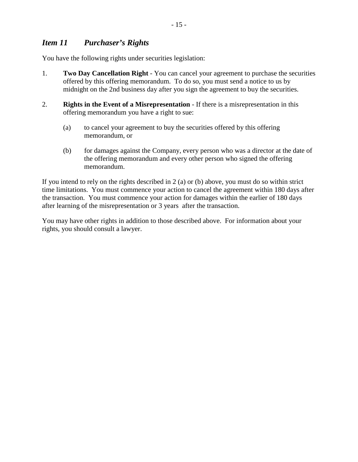# *Item 11 Purchaser's Rights*

You have the following rights under securities legislation:

- 1. **Two Day Cancellation Right** You can cancel your agreement to purchase the securities offered by this offering memorandum. To do so, you must send a notice to us by midnight on the 2nd business day after you sign the agreement to buy the securities.
- 2. **Rights in the Event of a Misrepresentation** If there is a misrepresentation in this offering memorandum you have a right to sue:
	- (a) to cancel your agreement to buy the securities offered by this offering memorandum, or
	- (b) for damages against the Company, every person who was a director at the date of the offering memorandum and every other person who signed the offering memorandum.

If you intend to rely on the rights described in 2 (a) or (b) above, you must do so within strict time limitations. You must commence your action to cancel the agreement within 180 days after the transaction. You must commence your action for damages within the earlier of 180 days after learning of the misrepresentation or 3 years after the transaction.

You may have other rights in addition to those described above. For information about your rights, you should consult a lawyer.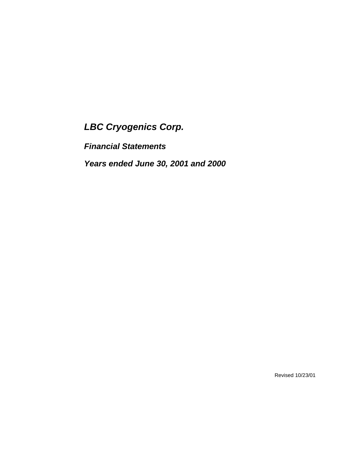*Financial Statements* 

*Years ended June 30, 2001 and 2000* 

Revised 10/23/01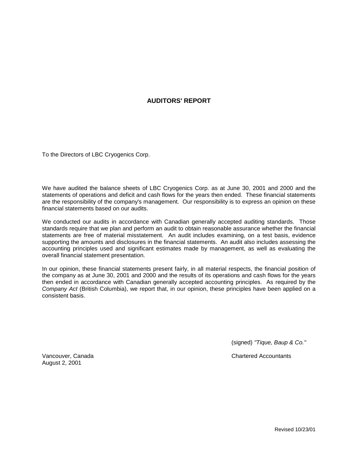#### **AUDITORS' REPORT**

To the Directors of LBC Cryogenics Corp.

We have audited the balance sheets of LBC Cryogenics Corp. as at June 30, 2001 and 2000 and the statements of operations and deficit and cash flows for the years then ended. These financial statements are the responsibility of the company's management. Our responsibility is to express an opinion on these financial statements based on our audits.

We conducted our audits in accordance with Canadian generally accepted auditing standards. Those standards require that we plan and perform an audit to obtain reasonable assurance whether the financial statements are free of material misstatement. An audit includes examining, on a test basis, evidence supporting the amounts and disclosures in the financial statements. An audit also includes assessing the accounting principles used and significant estimates made by management, as well as evaluating the overall financial statement presentation.

In our opinion, these financial statements present fairly, in all material respects, the financial position of the company as at June 30, 2001 and 2000 and the results of its operations and cash flows for the years then ended in accordance with Canadian generally accepted accounting principles. As required by the *Company Act* (British Columbia), we report that, in our opinion, these principles have been applied on a consistent basis.

(signed) *"Tique, Baup & Co."* 

Vancouver, Canada Chartered Accountants

August 2, 2001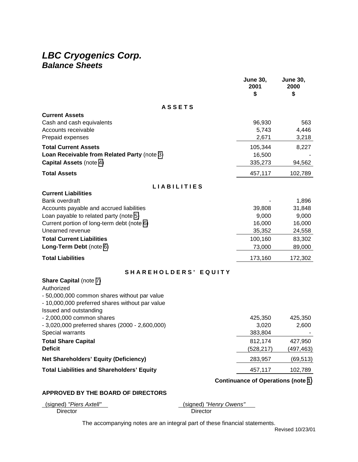# *LBC Cryogenics Corp. Balance Sheets*

|                                                                            | <b>June 30,</b><br>2001<br>\$             | <b>June 30,</b><br>2000<br>\$ |
|----------------------------------------------------------------------------|-------------------------------------------|-------------------------------|
| <b>ASSETS</b>                                                              |                                           |                               |
| <b>Current Assets</b>                                                      |                                           |                               |
| Cash and cash equivalents                                                  | 96,930                                    | 563                           |
| Accounts receivable                                                        | 5,743<br>2,671                            | 4,446                         |
| Prepaid expenses                                                           |                                           | 3,218                         |
| <b>Total Current Assets</b><br>Loan Receivable from Related Party (note 3) | 105,344<br>16,500                         | 8,227                         |
| Capital Assets (note 4)                                                    | 335,273                                   | 94,562                        |
| <b>Total Assets</b>                                                        | 457,117                                   | 102,789                       |
|                                                                            |                                           |                               |
| <b>LIABILITIES</b>                                                         |                                           |                               |
| <b>Current Liabilities</b><br><b>Bank overdraft</b>                        |                                           | 1,896                         |
| Accounts payable and accrued liabilities                                   | 39,808                                    | 31,848                        |
| Loan payable to related party (note 5)                                     | 9,000                                     | 9,000                         |
| Current portion of long-term debt (note 6)                                 | 16,000                                    | 16,000                        |
| Unearned revenue                                                           | 35,352                                    | 24,558                        |
| <b>Total Current Liabilities</b>                                           | 100,160                                   | 83,302                        |
| Long-Term Debt (note 6)                                                    | 73,000                                    | 89,000                        |
| <b>Total Liabilities</b>                                                   | 173,160                                   | 172,302                       |
| SHAREHOLDERS' EQUITY                                                       |                                           |                               |
| <b>Share Capital (note 7)</b>                                              |                                           |                               |
| Authorized                                                                 |                                           |                               |
| - 50,000,000 common shares without par value                               |                                           |                               |
| - 10,000,000 preferred shares without par value<br>Issued and outstanding  |                                           |                               |
| $-2,000,000$ common shares                                                 | 425,350                                   | 425,350                       |
| - 3,020,000 preferred shares (2000 - 2,600,000)                            | 3,020                                     | 2,600                         |
| Special warrants                                                           | 383,804                                   |                               |
| <b>Total Share Capital</b>                                                 | 812,174                                   | 427,950                       |
| <b>Deficit</b>                                                             | (528, 217)                                | (497,463)                     |
| <b>Net Shareholders' Equity (Deficiency)</b>                               | 283,957                                   | (69, 513)                     |
| <b>Total Liabilities and Shareholders' Equity</b>                          | 457,117                                   | 102,789                       |
|                                                                            | <b>Continuance of Operations (note 1)</b> |                               |

#### **APPROVED BY THE BOARD OF DIRECTORS**

| (signed) "Piers Axtell" |  |
|-------------------------|--|
| Director                |  |

(signed) *"Henry Owens"* 

**Director** 

The accompanying notes are an integral part of these financial statements.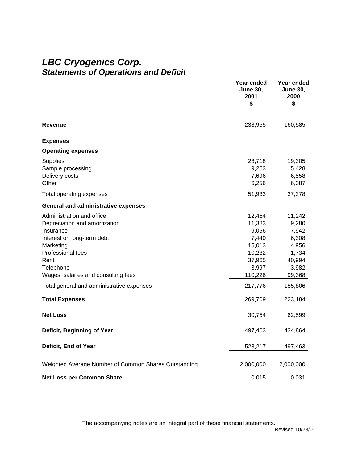# *LBC Cryogenics Corp. Statements of Operations and Deficit*

|                                                                                                                                                                                                                                                                           | Year ended<br><b>June 30,</b><br>2001<br>\$                                                                | Year ended<br><b>June 30,</b><br>2000<br>\$                                                            |
|---------------------------------------------------------------------------------------------------------------------------------------------------------------------------------------------------------------------------------------------------------------------------|------------------------------------------------------------------------------------------------------------|--------------------------------------------------------------------------------------------------------|
| Revenue                                                                                                                                                                                                                                                                   | 238,955                                                                                                    | 160,585                                                                                                |
| <b>Expenses</b>                                                                                                                                                                                                                                                           |                                                                                                            |                                                                                                        |
| <b>Operating expenses</b>                                                                                                                                                                                                                                                 |                                                                                                            |                                                                                                        |
| <b>Supplies</b><br>Sample processing<br>Delivery costs<br>Other                                                                                                                                                                                                           | 28,718<br>9,263<br>7,696<br>6,256                                                                          | 19,305<br>5,428<br>6,558<br>6,087                                                                      |
| Total operating expenses                                                                                                                                                                                                                                                  | 51,933                                                                                                     | 37,378                                                                                                 |
| <b>General and administrative expenses</b>                                                                                                                                                                                                                                |                                                                                                            |                                                                                                        |
| Administration and office<br>Depreciation and amortization<br>Insurance<br>Interest on long-term debt<br>Marketing<br>Professional fees<br>Rent<br>Telephone<br>Wages, salaries and consulting fees<br>Total general and administrative expenses<br><b>Total Expenses</b> | 12,464<br>11,383<br>9,056<br>7,440<br>15,013<br>10,232<br>37,965<br>3,997<br>110,226<br>217,776<br>269,709 | 11,242<br>9,280<br>7,942<br>6,308<br>4,956<br>1,734<br>40,994<br>3,982<br>99,368<br>185,806<br>223,184 |
| <b>Net Loss</b>                                                                                                                                                                                                                                                           | 30,754                                                                                                     | 62,599                                                                                                 |
| Deficit, Beginning of Year                                                                                                                                                                                                                                                | 497,463                                                                                                    | 434,864                                                                                                |
| Deficit, End of Year                                                                                                                                                                                                                                                      | 528,217                                                                                                    | 497,463                                                                                                |
| Weighted Average Number of Common Shares Outstanding                                                                                                                                                                                                                      | 2,000,000                                                                                                  | 2,000,000                                                                                              |
| <b>Net Loss per Common Share</b>                                                                                                                                                                                                                                          | 0.015                                                                                                      | 0.031                                                                                                  |

The accompanying notes are an integral part of these financial statements.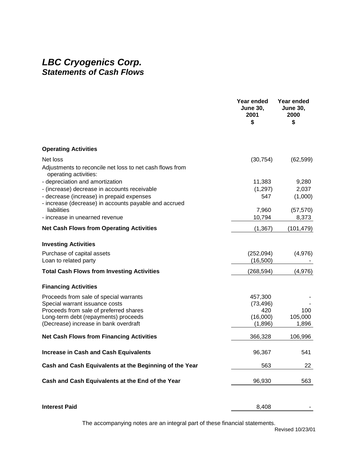# *LBC Cryogenics Corp. Statements of Cash Flows*

|                                                                                                    | Year ended<br><b>June 30,</b><br>2001<br>\$ | Year ended<br><b>June 30,</b><br>2000<br>\$ |
|----------------------------------------------------------------------------------------------------|---------------------------------------------|---------------------------------------------|
| <b>Operating Activities</b>                                                                        |                                             |                                             |
| Net loss                                                                                           | (30, 754)                                   | (62, 599)                                   |
| Adjustments to reconcile net loss to net cash flows from<br>operating activities:                  |                                             |                                             |
| - depreciation and amortization                                                                    | 11,383                                      | 9,280                                       |
| - (increase) decrease in accounts receivable                                                       | (1, 297)                                    | 2,037                                       |
| - decrease (increase) in prepaid expenses<br>- increase (decrease) in accounts payable and accrued | 547                                         | (1,000)                                     |
| liabilities                                                                                        | 7,960                                       | (57, 570)                                   |
| - increase in unearned revenue                                                                     | 10,794                                      | 8,373                                       |
| <b>Net Cash Flows from Operating Activities</b>                                                    | (1, 367)                                    | (101, 479)                                  |
| <b>Investing Activities</b>                                                                        |                                             |                                             |
| Purchase of capital assets                                                                         | (252,094)                                   | (4,976)                                     |
| Loan to related party                                                                              | (16,500)                                    |                                             |
| <b>Total Cash Flows from Investing Activities</b>                                                  | (268, 594)                                  | (4,976)                                     |
| <b>Financing Activities</b>                                                                        |                                             |                                             |
| Proceeds from sale of special warrants                                                             | 457,300                                     |                                             |
| Special warrant issuance costs                                                                     | (73, 496)                                   |                                             |
| Proceeds from sale of preferred shares                                                             | 420                                         | 100                                         |
| Long-term debt (repayments) proceeds                                                               | (16,000)                                    | 105,000                                     |
| (Decrease) increase in bank overdraft                                                              | (1,896)                                     | 1,896                                       |
| <b>Net Cash Flows from Financing Activities</b>                                                    | 366,328                                     | 106,996                                     |
| <b>Increase in Cash and Cash Equivalents</b>                                                       | 96,367                                      | 541                                         |
| Cash and Cash Equivalents at the Beginning of the Year                                             | 563                                         | 22                                          |
| Cash and Cash Equivalents at the End of the Year                                                   | 96,930                                      | 563                                         |
| <b>Interest Paid</b>                                                                               | 8,408                                       |                                             |
|                                                                                                    |                                             |                                             |

The accompanying notes are an integral part of these financial statements.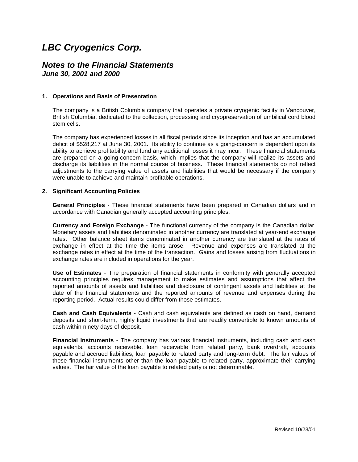## <span id="page-20-0"></span>*Notes to the Financial Statements June 30, 2001 and 2000*

#### **1. Operations and Basis of Presentation**

The company is a British Columbia company that operates a private cryogenic facility in Vancouver, British Columbia, dedicated to the collection, processing and cryopreservation of umbilical cord blood stem cells.

The company has experienced losses in all fiscal periods since its inception and has an accumulated deficit of \$528,217 at June 30, 2001. Its ability to continue as a going-concern is dependent upon its ability to achieve profitability and fund any additional losses it may incur. These financial statements are prepared on a going-concern basis, which implies that the company will realize its assets and discharge its liabilities in the normal course of business. These financial statements do not reflect adjustments to the carrying value of assets and liabilities that would be necessary if the company were unable to achieve and maintain profitable operations.

#### **2. Significant Accounting Policies**

**General Principles** - These financial statements have been prepared in Canadian dollars and in accordance with Canadian generally accepted accounting principles.

**Currency and Foreign Exchange** - The functional currency of the company is the Canadian dollar. Monetary assets and liabilities denominated in another currency are translated at year-end exchange rates. Other balance sheet items denominated in another currency are translated at the rates of exchange in effect at the time the items arose. Revenue and expenses are translated at the exchange rates in effect at the time of the transaction. Gains and losses arising from fluctuations in exchange rates are included in operations for the year.

**Use of Estimates** - The preparation of financial statements in conformity with generally accepted accounting principles requires management to make estimates and assumptions that affect the reported amounts of assets and liabilities and disclosure of contingent assets and liabilities at the date of the financial statements and the reported amounts of revenue and expenses during the reporting period. Actual results could differ from those estimates.

**Cash and Cash Equivalents** - Cash and cash equivalents are defined as cash on hand, demand deposits and short-term, highly liquid investments that are readily convertible to known amounts of cash within ninety days of deposit.

**Financial Instruments** - The company has various financial instruments, including cash and cash equivalents, accounts receivable, loan receivable from related party, bank overdraft, accounts payable and accrued liabilities, loan payable to related party and long-term debt. The fair values of these financial instruments other than the loan payable to related party, approximate their carrying values. The fair value of the loan payable to related party is not determinable.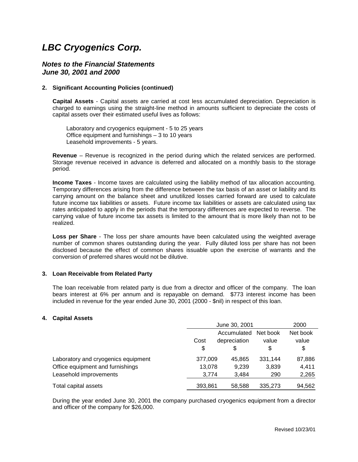#### <span id="page-21-0"></span>*Notes to the Financial Statements June 30, 2001 and 2000*

#### **2. Significant Accounting Policies (continued)**

**Capital Assets** - Capital assets are carried at cost less accumulated depreciation. Depreciation is charged to earnings using the straight-line method in amounts sufficient to depreciate the costs of capital assets over their estimated useful lives as follows:

 Laboratory and cryogenics equipment - 5 to 25 years Office equipment and furnishings – 3 to 10 years Leasehold improvements - 5 years.

**Revenue** – Revenue is recognized in the period during which the related services are performed. Storage revenue received in advance is deferred and allocated on a monthly basis to the storage period.

**Income Taxes** - Income taxes are calculated using the liability method of tax allocation accounting. Temporary differences arising from the difference between the tax basis of an asset or liability and its carrying amount on the balance sheet and unutilized losses carried forward are used to calculate future income tax liabilities or assets. Future income tax liabilities or assets are calculated using tax rates anticipated to apply in the periods that the temporary differences are expected to reverse. The carrying value of future income tax assets is limited to the amount that is more likely than not to be realized.

**Loss per Share** - The loss per share amounts have been calculated using the weighted average number of common shares outstanding during the year. Fully diluted loss per share has not been disclosed because the effect of common shares issuable upon the exercise of warrants and the conversion of preferred shares would not be dilutive.

#### **3. Loan Receivable from Related Party**

The loan receivable from related party is due from a director and officer of the company. The loan bears interest at 6% per annum and is repayable on demand. \$773 interest income has been included in revenue for the year ended June 30, 2001 (2000 - \$nil) in respect of this loan.

#### **4. Capital Assets**

|                                     |         | June 30, 2001 |          | 2000     |
|-------------------------------------|---------|---------------|----------|----------|
|                                     |         | Accumulated   | Net book | Net book |
|                                     | Cost    | depreciation  | value    | value    |
|                                     | \$      | S             | \$       | \$       |
| Laboratory and cryogenics equipment | 377,009 | 45.865        | 331.144  | 87,886   |
| Office equipment and furnishings    | 13,078  | 9,239         | 3,839    | 4,411    |
| Leasehold improvements              | 3.774   | 3,484         | 290      | 2,265    |
| Total capital assets                | 393,861 | 58.588        | 335.273  | 94,562   |

During the year ended June 30, 2001 the company purchased cryogenics equipment from a director and officer of the company for \$26,000.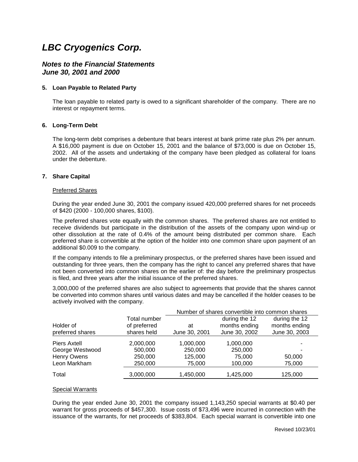#### <span id="page-22-0"></span>*Notes to the Financial Statements June 30, 2001 and 2000*

#### **5. Loan Payable to Related Party**

The loan payable to related party is owed to a significant shareholder of the company. There are no interest or repayment terms.

#### **6. Long-Term Debt**

The long-term debt comprises a debenture that bears interest at bank prime rate plus 2% per annum. A \$16,000 payment is due on October 15, 2001 and the balance of \$73,000 is due on October 15, 2002. All of the assets and undertaking of the company have been pledged as collateral for loans under the debenture.

#### **7. Share Capital**

#### Preferred Shares

During the year ended June 30, 2001 the company issued 420,000 preferred shares for net proceeds of \$420 (2000 - 100,000 shares, \$100).

The preferred shares vote equally with the common shares. The preferred shares are not entitled to receive dividends but participate in the distribution of the assets of the company upon wind-up or other dissolution at the rate of 0.4% of the amount being distributed per common share. Each preferred share is convertible at the option of the holder into one common share upon payment of an additional \$0.009 to the company.

If the company intends to file a preliminary prospectus, or the preferred shares have been issued and outstanding for three years, then the company has the right to cancel any preferred shares that have not been converted into common shares on the earlier of: the day before the preliminary prospectus is filed, and three years after the initial issuance of the preferred shares.

3,000,000 of the preferred shares are also subject to agreements that provide that the shares cannot be converted into common shares until various dates and may be cancelled if the holder ceases to be actively involved with the company.

|                               |                                             | Number of shares convertible into common shares |                                                 |                                                 |
|-------------------------------|---------------------------------------------|-------------------------------------------------|-------------------------------------------------|-------------------------------------------------|
| Holder of<br>preferred shares | Total number<br>of preferred<br>shares held | at<br>June 30, 2001                             | during the 12<br>months ending<br>June 30, 2002 | during the 12<br>months ending<br>June 30, 2003 |
| Piers Axtell                  | 2,000,000                                   | 1,000,000                                       | 1,000,000                                       |                                                 |
| George Westwood               | 500,000                                     | 250,000                                         | 250,000                                         |                                                 |
| Henry Owens                   | 250,000                                     | 125,000                                         | 75,000                                          | 50,000                                          |
| Leon Markham                  | 250,000                                     | 75,000                                          | 100,000                                         | 75,000                                          |
| Total                         | 3,000,000                                   | 1,450,000                                       | 1,425,000                                       | 125,000                                         |

#### Special Warrants

During the year ended June 30, 2001 the company issued 1,143,250 special warrants at \$0.40 per warrant for gross proceeds of \$457,300. Issue costs of \$73,496 were incurred in connection with the issuance of the warrants, for net proceeds of \$383,804. Each special warrant is convertible into one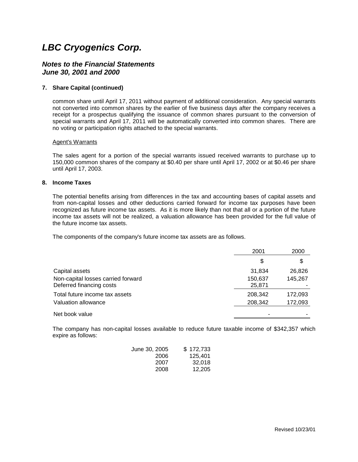#### *Notes to the Financial Statements June 30, 2001 and 2000*

#### **7. Share Capital (continued)**

common share until April 17, 2011 without payment of additional consideration. Any special warrants not converted into common shares by the earlier of five business days after the company receives a receipt for a prospectus qualifying the issuance of common shares pursuant to the conversion of special warrants and April 17, 2011 will be automatically converted into common shares. There are no voting or participation rights attached to the special warrants.

#### Agent's Warrants

The sales agent for a portion of the special warrants issued received warrants to purchase up to 150,000 common shares of the company at \$0.40 per share until April 17, 2002 or at \$0.46 per share until April 17, 2003.

#### **8. Income Taxes**

The potential benefits arising from differences in the tax and accounting bases of capital assets and from non-capital losses and other deductions carried forward for income tax purposes have been recognized as future income tax assets. As it is more likely than not that all or a portion of the future income tax assets will not be realized, a valuation allowance has been provided for the full value of the future income tax assets.

The components of the company's future income tax assets are as follows.

|                                    | 2001    | 2000    |
|------------------------------------|---------|---------|
|                                    | \$      | \$      |
| Capital assets                     | 31,834  | 26,826  |
| Non-capital losses carried forward | 150,637 | 145,267 |
| Deferred financing costs           | 25,871  |         |
| Total future income tax assets     | 208,342 | 172,093 |
| Valuation allowance                | 208,342 | 172,093 |
| Net book value                     |         |         |

The company has non-capital losses available to reduce future taxable income of \$342,357 which expire as follows:

| June 30, 2005 | \$172,733 |
|---------------|-----------|
| 2006          | 125.401   |
| 2007          | 32.018    |
| 2008          | 12,205    |